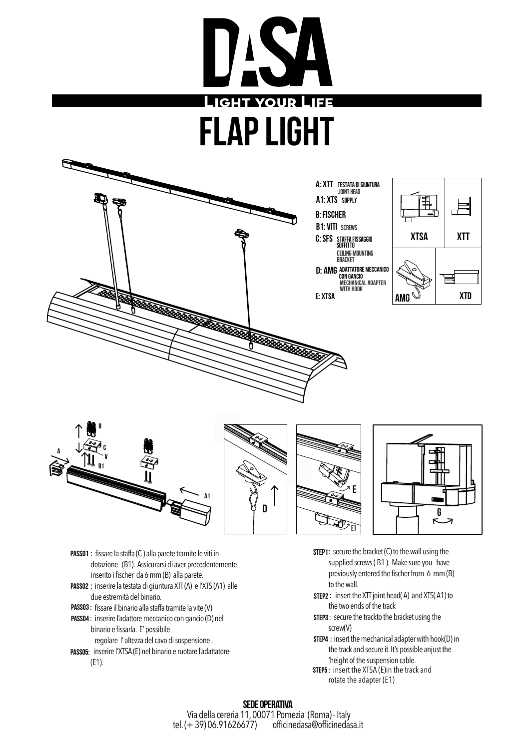



- Passo1 : fissare la staffa (C ) alla parete tramite le viti in dotazione (B1). Assicurarsi di aver precedentemente inserito i fischer da 6 mm (B) alla parete.
- passo2 : inserire la testata di giuntura XTT (A) e l'XTS (A1) alle due estremità del binario.
- PASS03 : fissare il binario alla staffa tramite la vite (V)
- PASS04 : inserire l'adattore meccanico con gancio (D) nel binario e fissarla. E' possibile
- regolare l' altezza del cavo di sospensione .
- PASS05: inserire l'XTSA (E) nel binario e ruotare l'adattatore-(E1).
- **STEP1:** secure the bracket  $(C)$  to the wall using the supplied screws ( B1 ). Make sure you have previously entered the fischer from 6 mm (B) to the wall.
- STEP2: insert the XTT joint head(A) and XTS(A1) to the two ends of the track
- **STEP3**: secure the trackto the bracket using the screw(V)
- **STEP4** : insert the mechanical adapter with hook(D) in the track and secure it. It's possible anjust the 'height of the suspension cable.
- **STEP5** : insert the XTSA (E)in the track and rotate the adapter (E1)